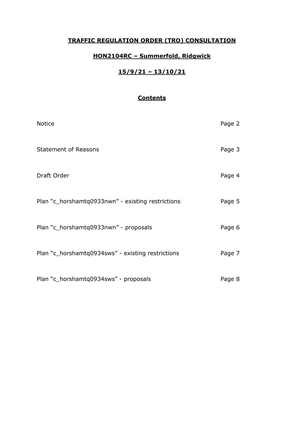### **TRAFFIC REGULATION ORDER (TRO) CONSULTATION**

### **HON2104RC – Summerfold, Ridgwick**

### **15/9/21 – 13/10/21**

### **Contents**

| <b>Notice</b>                                     | Page 2 |
|---------------------------------------------------|--------|
| <b>Statement of Reasons</b>                       | Page 3 |
| Draft Order                                       | Page 4 |
| Plan "c_horshamtq0933nwn" - existing restrictions | Page 5 |
| Plan "c_horshamtq0933nwn" - proposals             | Page 6 |
| Plan "c_horshamtq0934sws" - existing restrictions | Page 7 |
| Plan "c_horshamtq0934sws" - proposals             | Page 8 |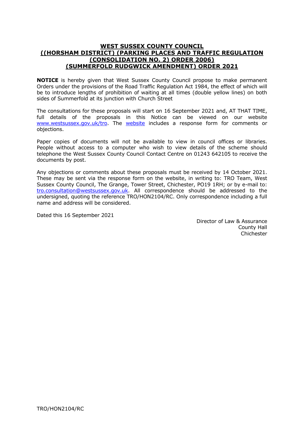#### **WEST SUSSEX COUNTY COUNCIL ((HORSHAM DISTRICT) (PARKING PLACES AND TRAFFIC REGULATION (CONSOLIDATION NO. 2) ORDER 2006) (SUMMERFOLD RUDGWICK AMENDMENT) ORDER 2021**

**NOTICE** is hereby given that West Sussex County Council propose to make permanent Orders under the provisions of the Road Traffic Regulation Act 1984, the effect of which will be to introduce lengths of prohibition of waiting at all times (double yellow lines) on both sides of Summerfold at its junction with Church Street

The consultations for these proposals will start on 16 September 2021 and, AT THAT TIME, full details of the proposals in this Notice can be viewed on our website [www.westsussex.gov.uk/tro.](http://www.westsussex.gov.uk/tro) The [website](https://www.westsussex.gov.uk/roads-and-travel/traffic-regulation-orders/) includes a response form for comments or objections.

Paper copies of documents will not be available to view in council offices or libraries. People without access to a computer who wish to view details of the scheme should telephone the West Sussex County Council Contact Centre on 01243 642105 to receive the documents by post.

Any objections or comments about these proposals must be received by 14 October 2021. These may be sent via the response form on the website, in writing to: TRO Team, West Sussex County Council, The Grange, Tower Street, Chichester, PO19 1RH; or by e-mail to: [tro.consultation@westsussex.gov.uk.](mailto:tro.team@westsussex.gov.uk) All correspondence should be addressed to the undersigned, quoting the reference TRO/HON2104/RC. Only correspondence including a full name and address will be considered.

Dated this 16 September 2021

 Director of Law & Assurance County Hall **Chichester**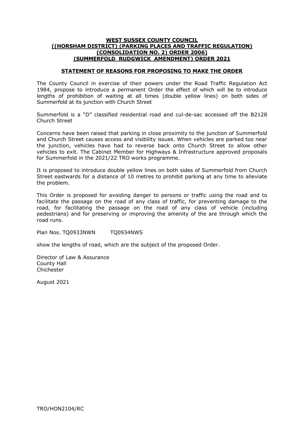#### **WEST SUSSEX COUNTY COUNCIL ((HORSHAM DISTRICT) (PARKING PLACES AND TRAFFIC REGULATION) (CONSOLIDATION NO. 2) ORDER 2006) (SUMMERFOLD RUDGWICK AMENDMENT) ORDER 2021**

#### **STATEMENT OF REASONS FOR PROPOSING TO MAKE THE ORDER**

The County Council in exercise of their powers under the Road Traffic Regulation Act 1984, propose to introduce a permanent Order the effect of which will be to introduce lengths of prohibition of waiting at all times (double yellow lines) on both sides of Summerfold at its junction with Church Street

Summerfold is a "D" classified residential road and cul-de-sac accessed off the B2128 Church Street

Concerns have been raised that parking in close proximity to the junction of Summerfold and Church Street causes access and visibility issues. When vehicles are parked too near the junction, vehicles have had to reverse back onto Church Street to allow other vehicles to exit. The Cabinet Member for Highways & Infrastructure approved proposals for Summerfold in the 2021/22 TRO works programme.

It is proposed to introduce double yellow lines on both sides of Summerfold from Church Street eastwards for a distance of 10 metres to prohibit parking at any time to alleviate the problem.

This Order is proposed for avoiding danger to persons or traffic using the road and to facilitate the passage on the road of any class of traffic, for preventing damage to the road, for facilitating the passage on the road of any class of vehicle (including pedestrians) and for preserving or improving the amenity of the are through which the road runs.

Plan Nos. TO0933NWN TO0934NWS

show the lengths of road, which are the subject of the proposed Order.

Director of Law & Assurance County Hall Chichester

August 2021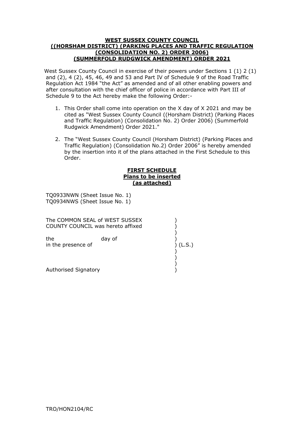#### **WEST SUSSEX COUNTY COUNCIL ((HORSHAM DISTRICT) (PARKING PLACES AND TRAFFIC REGULATION (CONSOLIDATION NO. 2) ORDER 2006) (SUMMERFOLD RUDGWICK AMENDMENT) ORDER 2021**

West Sussex County Council in exercise of their powers under Sections 1 (1) 2 (1) and  $(2)$ , 4  $(2)$ , 45, 46, 49 and 53 and Part IV of Schedule 9 of the Road Traffic Regulation Act 1984 "the Act" as amended and of all other enabling powers and after consultation with the chief officer of police in accordance with Part III of Schedule 9 to the Act hereby make the following Order:-

- ." Rudgwick Amendment) Order 2021 1. This Order shall come into operation on the X day of X 2021 and may be cited as "West Sussex County Council ((Horsham District) (Parking Places and Traffic Regulation) (Consolidation No. 2) Order 2006) (Summerfold
- 2. The "West Sussex County Council (Horsham District) (Parking Places and Traffic Regulation) (Consolidation No.2) Order 2006" is hereby amended by the insertion into it of the plans attached in the First Schedule to this Order.

#### **FIRST SCHEDULE Plans to be inserted (as attached)**

TQ0933NWN (Sheet Issue No. 1) TQ0934NWS (Sheet Issue No. 1)

The COMMON SEAL of WEST SUSSEX  $)$ COUNTY COUNCIL was hereto affixed )

)

)

 ) in the presence of  $($ (L.S.) the day of

 ) Authorised Signatory )

TRO/HON2104/RC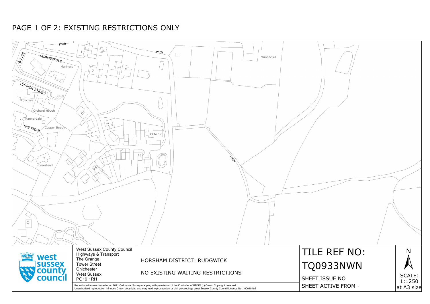

# PAGE 1 OF 2: EXISTING RESTRICTIONS ONLY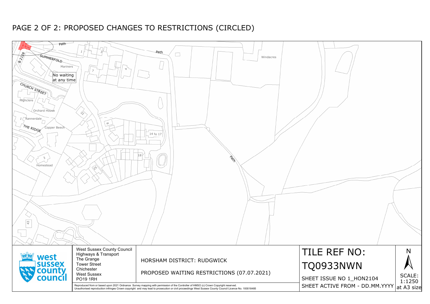| Path<br>చ్చి<br>SUMMERFOLD<br>$\overline{\mathcal{E}}$ $\overline{\mathcal{E}}$<br>Mariners<br>$\sqrt{\phantom{a}}$ No waiting<br>at any time<br>CHURCH STREET<br><b>Highclere</b><br>Orchard House<br>Rannerdale<br>THE RIDGE<br>Copper Beech<br>3<br>Homestead<br>$43$ | Зľ<br>$\Delta$<br>$\overline{z}$<br>$\overrightarrow{c}$<br>$\infty$<br>$\left\langle \mathrm{p}\right\rangle$ | Path<br>Windacres<br>14 to 17<br> 18 <br>POTT                                                                                                                                                                                                                                               |                 |
|--------------------------------------------------------------------------------------------------------------------------------------------------------------------------------------------------------------------------------------------------------------------------|----------------------------------------------------------------------------------------------------------------|---------------------------------------------------------------------------------------------------------------------------------------------------------------------------------------------------------------------------------------------------------------------------------------------|-----------------|
| west                                                                                                                                                                                                                                                                     | <b>West Sussex County Council</b><br>Highways & Transport<br>The Grange                                        | HORSHAM DISTRICT: RUDGWICK                                                                                                                                                                                                                                                                  | <b>TILE</b>     |
| <b>sussex</b>                                                                                                                                                                                                                                                            | <b>Tower Street</b><br>Chichester                                                                              |                                                                                                                                                                                                                                                                                             | 09              |
| county<br>council                                                                                                                                                                                                                                                        | <b>West Sussex</b><br><b>PO19 1RH</b>                                                                          | PROPOSED WAITING RESTRICTIONS (07.07.2021)                                                                                                                                                                                                                                                  | <b>SHEET IS</b> |
|                                                                                                                                                                                                                                                                          |                                                                                                                | Reproduced from or based upon 2021 Ordnance Survey mapping with permission of the Controller of HMSO (c) Crown Copyright reserved.<br>Unauthorised reproduction infringes Crown copyright and may lead to prosecution or civil proceedings West Sussex County Council Licence No. 100018485 | <b>SHEET AC</b> |



# PAGE 2 OF 2: PROPOSED CHANGES TO RESTRICTIONS (CIRCLED)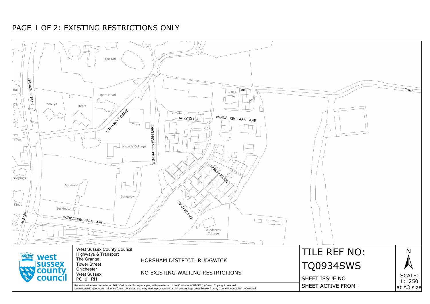

# PAGE 1 OF 2: EXISTING RESTRICTIONS ONLY